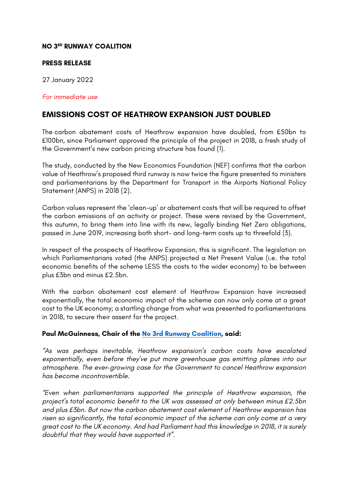### **NO 3RD RUNWAY COALITION**

#### **PRESS RELEASE**

27 January 2022

#### *For immediate use*

# **EMISSIONS COST OF HEATHROW EXPANSION JUST DOUBLED**

The carbon abatement costs of Heathrow expansion have doubled, from £50bn to £100bn, since Parliament approved the principle of the project in 2018, a fresh study of the Government's new carbon pricing structure has found (1).

The study, conducted by the New Economics Foundation (NEF) confirms that the carbon value of Heathrow's proposed third runway is now twice the figure presented to ministers and parliamentarians by the Department for Transport in the Airports National Policy Statement (ANPS) in 2018 (2).

Carbon values represent the 'clean-up' or abatement costs that will be required to offset the carbon emissions of an activity or project. These were revised by the Government, this autumn, to bring them into line with its new, legally binding Net Zero obligations, passed in June 2019, increasing both short- and long-term costs up to threefold (3).

In respect of the prospects of Heathrow Expansion, this is significant. The legislation on which Parliamentarians voted (the ANPS) projected a Net Present Value (i.e. the total economic benefits of the scheme LESS the costs to the wider economy) to be between plus £3bn and minus £2.5bn.

With the carbon abatement cost element of Heathrow Expansion have increased exponentially, the total economic impact of the scheme can now only come at a great cost to the UK economy; a startling change from what was presented to parliamentarians in 2018, to secure their assent for the project.

### **Paul McGuinness, Chair of the No 3rd Runway Coalition, said:**

*"As was perhaps inevitable, Heathrow expansion's carbon costs have escalated exponentially, even before they've put more greenhouse gas emitting planes into our atmosphere. The ever-growing case for the Government to cancel Heathrow expansion has become incontrovertible.*

*"Even when parliamentarians supported the principle of Heathrow expansion, the project's total economic benefit to the UK was assessed at only between minus £2.5bn and plus £3bn. But now the carbon abatement cost element of Heathrow expansion has risen so significantly, the total economic impact of the scheme can only come at a very great cost to the UK economy. And had Parliament had this knowledge in 2018, it is surely doubtful that they would have supported it".*